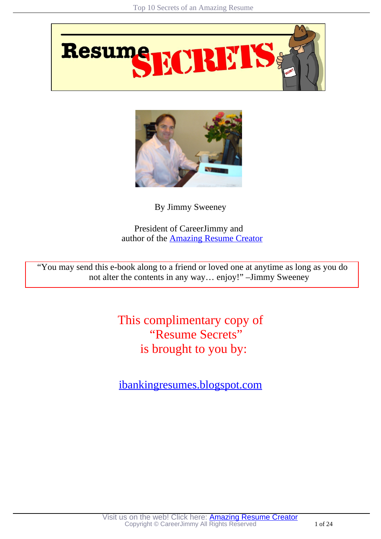By Jimmy Sweeney

President of CareerJimmy and author of the Amazing Resume Creator

"You may send this e-book along [to a friend or loved one](http://annayuen.amazresume.hop.clickbank.net/?tid=ebook) at anytime as long as you do not alter the contents in any way… enjoy!" –Jimmy Sweeney

> This complimentary copy of "Resume Secrets" is brought to you by:

ibankingresumes.blogspot.com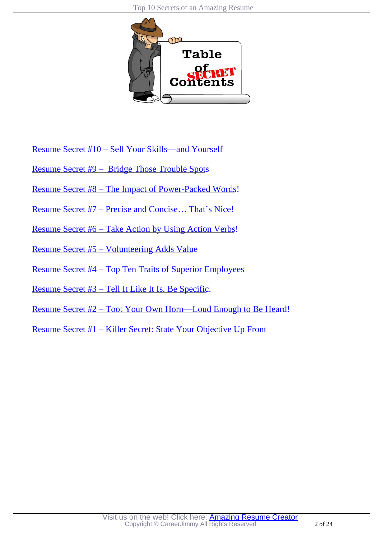Resume Secret #10 – Sell Your Skills—and Yourself

Resume Secret #9 – Bridge Those Trouble Spots

[Resume Secret #8 – The Impact of Power-Pa](#page-2-0)cked Words!

[Resume Secret #7 – Precise and Concise…](#page-4-0) That's Nice!

[Resume Secret #6 – Take Action by Using Action V](#page-6-0)erbs!

[Resume Secret #5 – Volunteering Adds Value](#page-8-0)

[Resume Secret #4 – Top Ten Traits of Superior Em](#page-10-0)ployees

[Resume Secret #3 – Tell It Like It Is. Be S](#page-12-0)pecific.

[Resume Secret #2 – Toot Your Own Horn—Loud En](#page-14-0)ough to Be Heard!

[Resume Secret #1 – Killer Secret: State You](#page-16-0)r Objective Up Front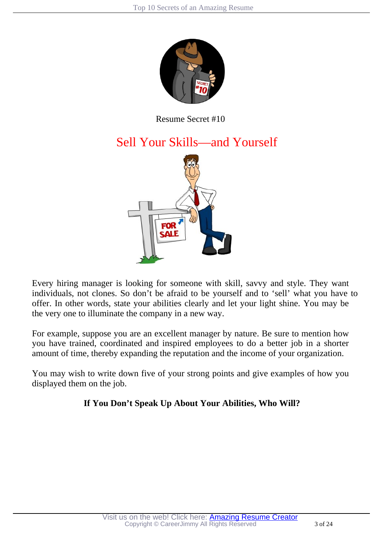## <span id="page-2-0"></span>Sell Your Skills—and Yourself

Every hiring manager is looking for someone with skill, savvy and style. They want individuals, not clones. So don't be afraid to be yourself and to 'sell' what you have to offer. In other words, state your abilities clearly and let your light shine. You may be the very one to illuminate the company in a new way.

For example, suppose you are an excellent manager by nature. Be sure to mention how you have trained, coordinated and inspired employees to do a better job in a shorter amount of time, thereby expanding the reputation and the income of your organization.

You may wish to write down five of your strong points and give examples of how you displayed them on the job.

If You Don't Speak Up About Your Abilities, Who Will?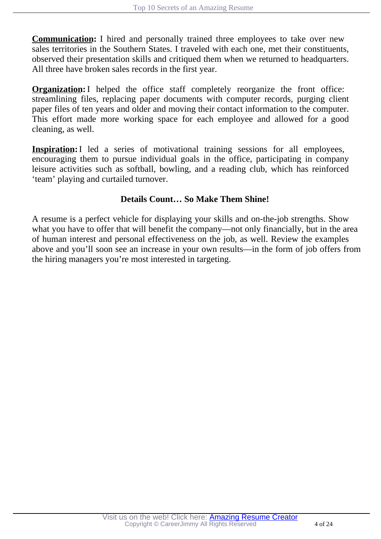Communication: I hired and personally trained three employees to take over new sales territories in the Southern States. I traveled with each one, met their constituents, observed their presentation skills and critiqued them when we returned to headquarters. All three have broken sales records in the first year.

Organization: I helped the office staff completely reorganize the front office: streamlining files, replacing paper documents with computer records, purging client paper files of ten years and older and moving their contact information to the computer. This effort made more working space for each employee and allowed for a good cleaning, as well.

Inspiration: I led a series of motivational training sessions for all employees, encouraging them to pursue individual goals in the office, participating in company leisure activities such as softball, bowling, and a reading club, which has reinforced 'team' playing and curtailed turnover.

Details Count… So Make Them Shine!

A resume is a perfect vehicle for displaying your skills and on-the-job strengths. Show what you have to offer that will benefit the company—not only financially, but in the area of human interest and personal effectiveness on the job, as well. Review the examples above and you'll soon see an increase in your own results—in the form of job offers from the hiring managers you're most interested in targeting.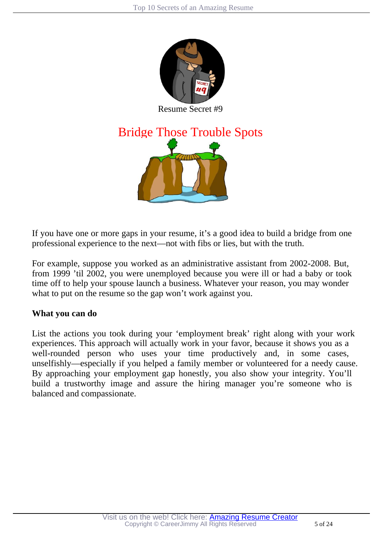# <span id="page-4-0"></span>Bridge Those Trouble Spots

If you have one or more gaps in your resume, it's a good idea to build a bridge from one professional experience to the next—not with fibs or lies, but with the truth.

For example, suppose you worked as an administrative assistant from 2002-2008. But, from 1999 'til 2002, you were unemployed because you were ill or had a baby or took time off to help your spouse launch a business. Whatever your reason, you may wonder what to put on the resume so the gap won't work against you.

What you can do

List the actions you took during your 'employment break' right along with your work experiences. This approach will actually work in your favor, because it shows you as a well-rounded person who uses your time productively and, in some cases, unselfishly—especially if you helped a family member or volunteered for a needy cause. By approaching your employment gap honestly, you also show your integrity. You'll build a trustworthy image and assure the hiring manager you're someone who is balanced and compassionate.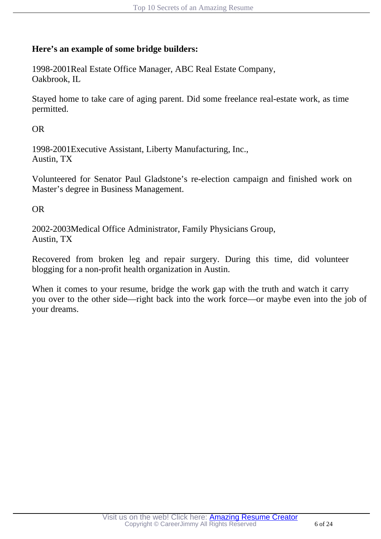Here's an example of some bridge builders:

1998-2001 Real Estate Office Manager, ABC Real Estate Company, Oakbrook, IL

Stayed home to take care of aging parent. Did some freelance real-estate work, as time permitted.

OR

1998-2001 Executive Assistant, Liberty Manufacturing, Inc., Austin, TX

Volunteered for Senator Paul Gladstone's re-election campaign and finished work on Master's degree in Business Management.

OR

2002-2003 Medical Office Administrator, Family Physicians Group, Austin, TX

Recovered from broken leg and repair surgery. During this time, did volunteer blogging for a non-profit health organization in Austin.

When it comes to your resume, bridge the work gap with the truth and watch it carry you over to the other side—right back into the work force—or maybe even into the job of your dreams.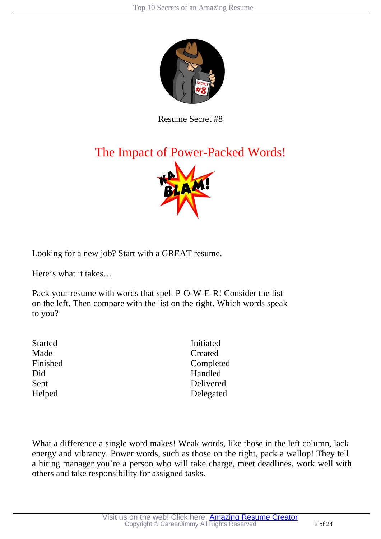# <span id="page-6-0"></span>The Impact of Power-Packed Words!

Looking for a new job? Start with a GREAT resume.

Here's what it takes…

Pack your resume with words that spell P-O-W-E-R! Consider the list on the left. Then compare with the list on the right. Which words speak to you?

Started Made Finished Did Sent Helped

Initiated Created **Completed Handled Delivered** Delegated

What a difference a single word makes! Weak words, like those in the left column, lack energy and vibrancy. Power words, such as those on the right, pack a wallop! They tell a hiring manager you're a person who will take charge, meet deadlines, work well with others and take responsibility for assigned tasks.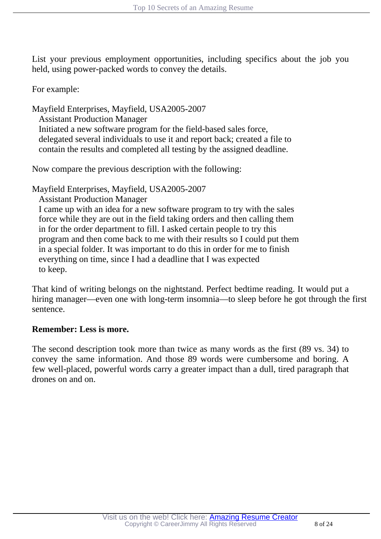List your previous employment opportunities, including specifics about the job you held, using power-packed words to convey the details.

For example:

Mayfield Enterprises, Mayfield, USA 2005-2007 Assistant Production Manager Initiated a new software program for the field-based sales force, delegated several individuals to use it and report back; created a file to contain the results and completed all testing by the assigned deadline.

Now compare the previous description with the following:

Mayfield Enterprises, Mayfield, USA 2005-2007

Assistant Production Manager

 I came up with an idea for a new software program to try with the sales force while they are out in the field taking orders and then calling them in for the order department to fill. I asked certain people to try this program and then come back to me with their results so I could put them in a special folder. It was important to do this in order for me to finish everything on time, since I had a deadline that I was expected to keep.

That kind of writing belongs on the nightstand. Perfect bedtime reading. It would put a hiring manager—even one with long-term insomnia—to sleep before he got through the fire sentence.

Remember: Less is more.

The second description took more than twice as many words as the first (89 vs. 34) to convey the same information. And those 89 words were cumbersome and boring. A few well-placed, powerful words carry a greater impact than a dull, tired paragraph that drones on and on.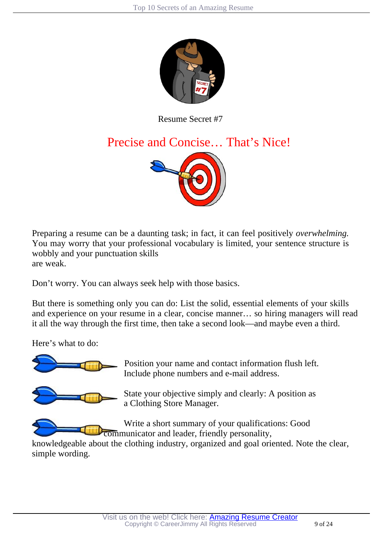# <span id="page-8-0"></span>Precise and Concise… That's Nice!

Preparing a resume can be a daunting task; in fact, it can feel positively overwhelming. You may worry that your professional vocabulary is limited, your sentence structure is wobbly and your punctuation skills are weak.

Don't worry. You can always seek help with those basics.

But there is something only you can do: List the solid, essential elements of your skills and experience on your resume in a clear, concise manner... so hiring managers will read it all the way through the first time, then take a second look—and maybe even a third.

Here's what to do:

 Position your name and contact information flush left. Include phone numbers and e-mail address.

 State your objective simply and clearly: A position as a Clothing Store Manager.

 Write a short summary of your qualifications: Good communicator and leader, friendly personality,

knowledgeable about the clothing industry, organized and goal oriented. Note the clear, simple wording.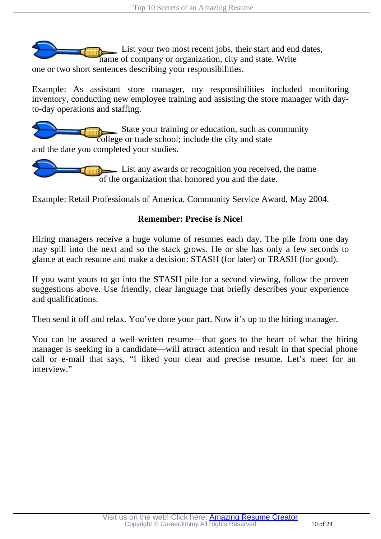List your two most recent jobs, their start and end dates, name of company or organization, city and state. Write one or two short sentences describing your responsibilities.

Example: As assistant store manager, my responsibilities included monitoring inventory, conducting new employee training and assisting the store manager with dayto-day operations and staffing.

 State your training or education, such as community college or trade school; include the city and state and the date you completed your studies.

> List any awards or recognition you received, the name of the organization that honored you and the date.

Example: Retail Professionals of America, Community Service Award, May 2004.

Remember: Precise is Nice!

Hiring managers receive a huge volume of resumes each day. The pile from one day may spill into the next and so the stack grows. He or she has only a few seconds to glance at each resume and make a decision: STASH (for later) or TRASH (for good).

If you want yours to go into the STASH pile for a second viewing, follow the proven suggestions above. Use friendly, clear language that briefly describes your experience and qualifications.

Then send it off and relax. You've done your part. Now it's up to the hiring manager.

You can be assured a well-written resume—that goes to the heart of what the hiring manager is seeking in a candidate—will attract attention and result in that special phone call or e-mail that says, "I liked your clear and precise resume. Let's meet for an interview."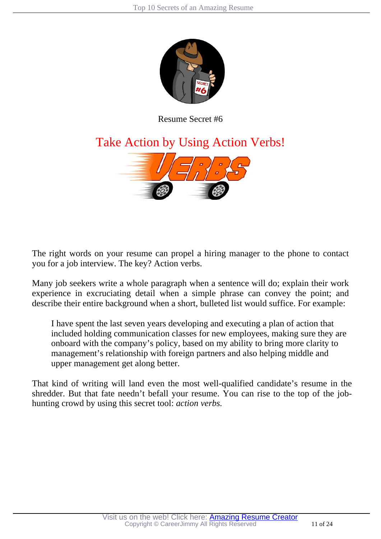# <span id="page-10-0"></span>Take Action by Using Action Verbs!

The right words on your resume can propel a hiring manager to the phone to contact you for a job interview. The key? Action verbs.

Many job seekers write a whole paragraph when a sentence will do; explain their work experience in excruciating detail when a simple phrase can convey the point; and describe their entire background when a short, bulleted list would suffice. For example:

I have spent the last seven years developing and executing a plan of action that included holding communication classes for new employees, making sure they are onboard with the company's policy, based on my ability to bring more clarity to management's relationship with foreign partners and also helping middle and upper management get along better.

That kind of writing will land even the most well-qualified candidate's resume in the shredder. But that fate needn't befall your resume. You can rise to the top of the jobhunting crowd by using this secret tool: action verbs.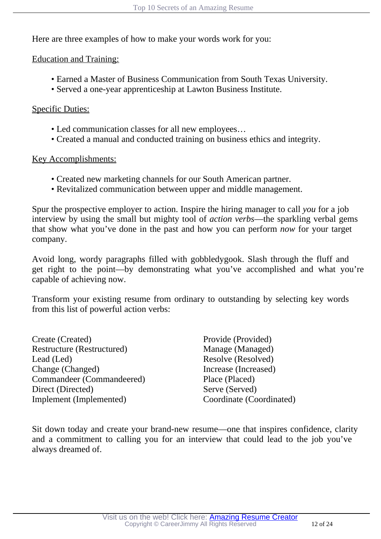Here are three examples of how to make your words work for you:

Education and Training:

- Earned a Master of Business Communication from South Texas University.
- Served a one-year apprenticeship at Lawton Business Institute.

### Specific Duties:

- Led communication classes for all new employees…
- Created a manual and conducted training on business ethics and integrity.

### Key Accomplishments:

- Created new marketing channels for our South American partner.
- Revitalized communication between upper and middle management.

Spur the prospective employer to action. Inspire the hiring manager to call you for a job interview by using the small but mighty tool of action verbs—the sparkling verbal gems that show what you've done in the past and how you can perform now for your target company.

Avoid long, wordy paragraphs filled with gobbledygook. Slash through the fluff and get right to the point—by demonstrating what you've accomplished and what you're capable of achieving now.

Transform your existing resume from ordinary to outstanding by selecting key words from this list of powerful action verbs:

Create (Created) Restructure (Restructured) Lead (Led) Change (Changed) Commandeer (Commandeered) Direct (Directed) Implement (Implemented)

Provide (Provided) Manage (Managed) Resolve (Resolved) Increase (Increased) Place (Placed) Serve (Served) Coordinate (Coordinated)

Sit down today and create your brand-new resume—one that inspires confidence, clarity and a commitment to calling you for an interview that could lead to the job you've always dreamed of.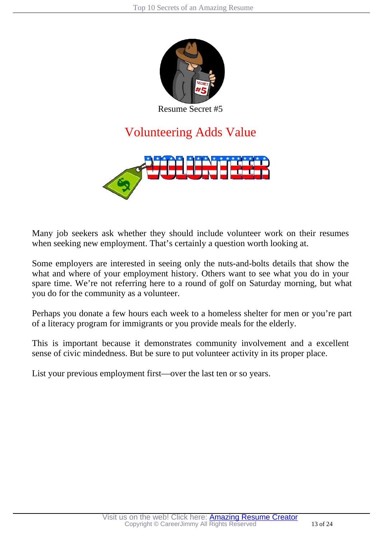# <span id="page-12-0"></span>Volunteering Adds Value

Many job seekers ask whether they should include volunteer work on their resumes when seeking new employment. That's certainly a question worth looking at.

Some employers are interested in seeing only the nuts-and-bolts details that show the what and where of your employment history. Others want to see what you do in your spare time. We're not referring here to a round of golf on Saturday morning, but what you do for the community as a volunteer.

Perhaps you donate a few hours each week to a homeless shelter for men or you're part of a literacy program for immigrants or you provide meals for the elderly.

This is important because it demonstrates community involvement and a excellent sense of civic mindedness. But be sure to put volunteer activity in its proper place.

List your previous employment first—over the last ten or so years.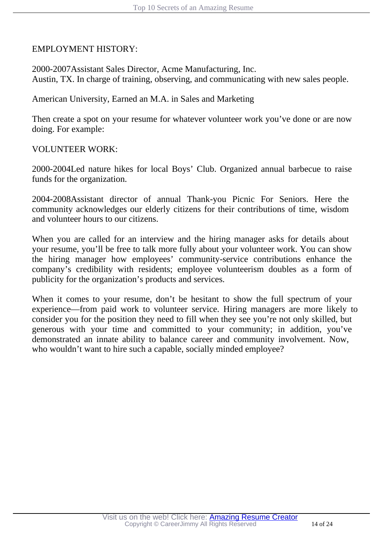EMPLOYMENT HISTORY:

2000-2007 Assistant Sales Director, Acme Manufacturing, Inc. Austin, TX. In charge of training, observing, and communicating with new sales people.

American University, Earned an M.A. in Sales and Marketing

Then create a spot on your resume for whatever volunteer work you've done or are now doing. For example:

VOLUNTEER WORK:

2000-2004 Led nature hikes for local Boys' Club. Organized annual barbecue to raise funds for the organization.

2004-2008 Assistant director of annual Thank-you Picnic For Seniors. Here the community acknowledges our elderly citizens for their contributions of time, wisdom and volunteer hours to our citizens.

When you are called for an interview and the hiring manager asks for details about your resume, you'll be free to talk more fully about your volunteer work. You can show the hiring manager how employees' community-service contributions enhance the company's credibility with residents; employee volunteerism doubles as a form of publicity for the organization's products and services.

When it comes to your resume, don't be hesitant to show the full spectrum of your experience—from paid work to volunteer service. Hiring managers are more likely to consider you for the position they need to fill when they see you're not only skilled, but generous with your time and committed to your community; in addition, you've demonstrated an innate ability to balance career and community involvement. Now, who wouldn't want to hire such a capable, socially minded employee?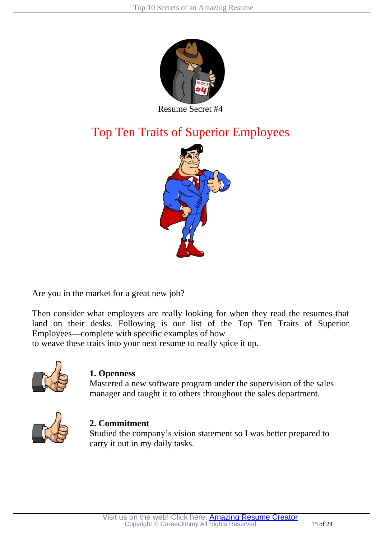# <span id="page-14-0"></span>Top Ten Traits of Superior Employees

Are you in the market for a great new job?

Then consider what employers are really looking for when they read the resumes that land on their desks. Following is our list of the Top Ten Traits of Superior Employees—complete with specific examples of how to weave these traits into your next resume to really spice it up.

> 1. Openness Mastered a new software program under the supervision of the sales manager and taught it to others throughout the sales department.

2. Commitment Studied the company's vision statement so I was better prepared to carry it out in my daily tasks.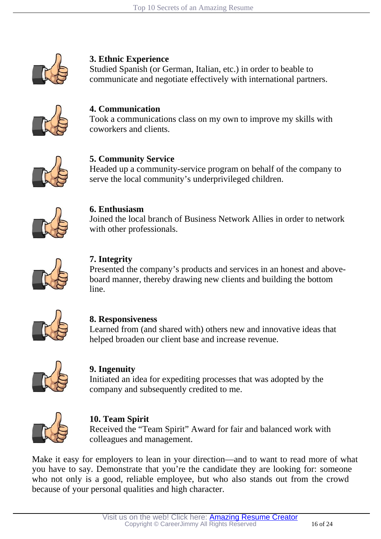#### 3. Ethnic Experience

Studied Spanish (or German, Italian, etc.) in order to beable to communicate and negotiate effectively with international partners.

### 4. Communication

Took a communications class on my own to improve my skills with coworkers and clients.

#### 5. Community Service

Headed up a community-service program on behalf of the company to serve the local community's underprivileged children.

#### 6. Enthusiasm

Joined the local branch of Business Network Allies in order to network with other professionals.

#### 7. Integrity

Presented the company's products and services in an honest and aboveboard manner, thereby drawing new clients and building the bottom line.

#### 8. Responsiveness

Learned from (and shared with) others new and innovative ideas that helped broaden our client base and increase revenue.

#### 9. Ingenuity

Initiated an idea for expediting processes that was adopted by the company and subsequently credited to me.

#### 10. Team Spirit

Received the "Team Spirit" Award for fair and balanced work with colleagues and management.

Make it easy for employers to lean in your direction—and to want to read more of what you have to say. Demonstrate that you're the candidate they are looking for: someone who not only is a good, reliable employee, but who also stands out from the crowd because of your personal qualities and high character.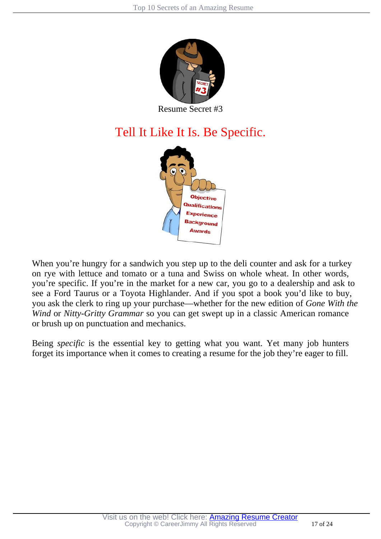### <span id="page-16-0"></span>Tell It Like It Is. Be Specific.

When you're hungry for a sandwich you step up to the deli counter and ask for a turkey on rye with lettuce and tomato or a tuna and Swiss on whole wheat. In other words, you're specific. If you're in the market for a new car, you go to a dealership and ask to see a Ford Taurus or a Toyota Highlander. And if you spot a book you'd like to buy, you ask the clerk to ring up your purchase—whether for the new edition of Gone With the Wind or Nitty-Gritty Grammar so you can get swept up in a classic American romance or brush up on punctuation and mechanics.

Being specific is the essential key to getting what you want. Yet many job hunters forget its importance when it comes to creating a resume for the job they're eager to fill.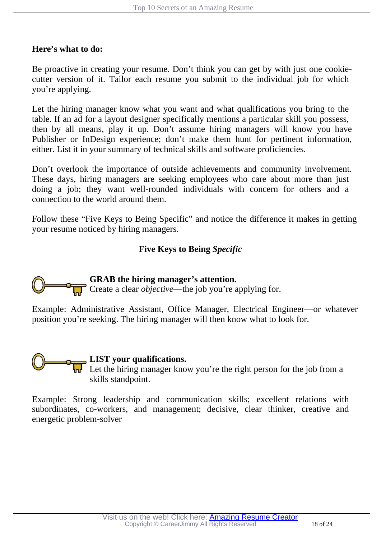Here's what to do:

Be proactive in creating your resume. Don't think you can get by with just one cookiecutter version of it. Tailor each resume you submit to the individual job for which you're applying.

Let the hiring manager know what you want and what qualifications you bring to the table. If an ad for a layout designer specifically mentions a particular skill you possess, then by all means, play it up. Don't assume hiring managers will know you have Publisher or InDesign experience; don't make them hunt for pertinent information, either. List it in your summary of technical skills and software proficiencies.

Don't overlook the importance of outside achievements and community involvement. These days, hiring managers are seeking employees who care about more than just doing a job; they want well-rounded individuals with concern for others and a connection to the world around them.

Follow these "Five Keys to Being Specific" and notice the difference it makes in getting your resume noticed by hiring managers.

Five Keys to Being Specific

GRAB the hiring manager's attention. Create a clear objective—the job you're applying for.

Example: Administrative Assistant, Office Manager, Electrical Engineer—or whatever position you're seeking. The hiring manager will then know what to look for.

> LIST your qualifications. Let the hiring manager know you're the right person for the job from a skills standpoint.

Example: Strong leadership and communication skills; excellent relations with subordinates, co-workers, and management; decisive, clear thinker, creative and energetic problem-solver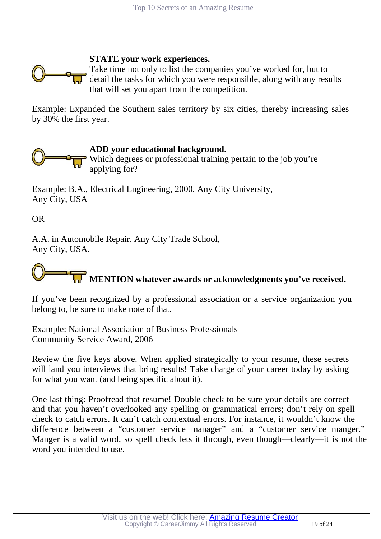STATE your work experiences.

Take time not only to list the companies you've worked for, but to detail the tasks for which you were responsible, along with any results that will set you apart from the competition.

Example: Expanded the Southern sales territory by six cities, thereby increasing sales by 30% the first year.

> ADD your educational background. Which degrees or professional training pertain to the job you're applying for?

Example: B.A., Electrical Engineering, 2000, Any City University, Any City, USA

OR

A.A. in Automobile Repair, Any City Trade School, Any City, USA.

MENTION whatever awards or acknowledgments you've received.

If you've been recognized by a professional association or a service organization you belong to, be sure to make note of that.

Example: National Association of Business Professionals Community Service Award, 2006

Review the five keys above. When applied strategically to your resume, these secrets will land you interviews that bring results! Take charge of your career today by asking for what you want (and being specific about it).

One last thing: Proofread that resume! Double check to be sure your details are correct and that you haven't overlooked any spelling or grammatical errors; don't rely on spell check to catch errors. It can't catch contextual errors. For instance, it wouldn't know the difference between a "customer service manager" and a "customer service manger Manger is a valid word, so spell check lets it through, even though—clearly—it is not the word you intended to use.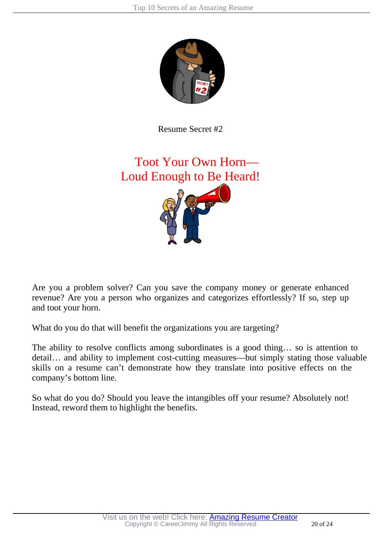Toot Your Own Horn— Loud Enough to Be Heard!

Are you a problem solver? Can you save the company money or generate enhanced revenue? Are you a person who organizes and categorizes effortlessly? If so, step up and toot your horn.

What do you do that will benefit the organizations you are targeting?

The ability to resolve conflicts among subordinates is a good thing… so is attention to detail... and ability to implement cost-cutting measures—but simply stating those valuabl skills on a resume can't demonstrate how they translate into positive effects on the company's bottom line.

So what do you do? Should you leave the intangibles off your resume? Absolutely not! Instead, reword them to highlight the benefits.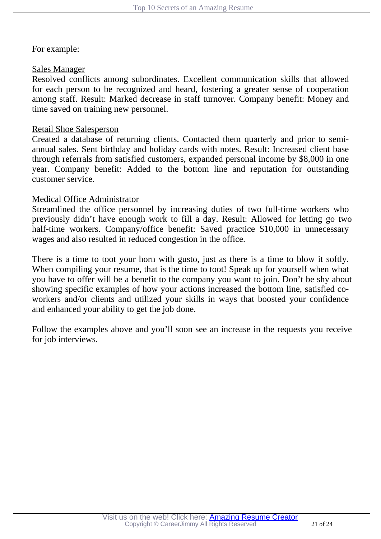### For example:

### Sales Manager

Resolved conflicts among subordinates. Excellent communication skills that allowed for each person to be recognized and heard, fostering a greater sense of cooperation among staff. Result: Marked decrease in staff turnover. Company benefit: Money and time saved on training new personnel.

### Retail Shoe Salesperson

Created a database of returning clients. Contacted them quarterly and prior to semiannual sales. Sent birthday and holiday cards with notes. Result: Increased client base through referrals from satisfied customers, expanded personal income by \$8,000 in one year. Company benefit: Added to the bottom line and reputation for outstanding customer service.

### Medical Office Administrator

Streamlined the office personnel by increasing duties of two full-time workers who previously didn't have enough work to fill a day. Result: Allowed for letting go two half-time workers. Company/office benefit: Saved practice \$10,000 in unnecessary wages and also resulted in reduced congestion in the office.

There is a time to toot your horn with gusto, just as there is a time to blow it softly. When compiling your resume, that is the time to toot! Speak up for yourself when what you have to offer will be a benefit to the company you want to join. Don't be shy about showing specific examples of how your actions increased the bottom line, satisfied coworkers and/or clients and utilized your skills in ways that boosted your confidence and enhanced your ability to get the job done.

Follow the examples above and you'll soon see an increase in the requests you receive for job interviews.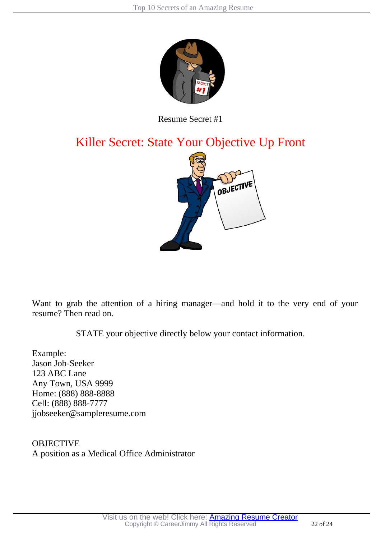# Killer Secret: State Your Objective Up Front

Want to grab the attention of a hiring manager—and hold it to the very end of your resume? Then read on.

STATE your objective directly below your contact information.

Example: Jason Job-Seeker 123 ABC Lane Any Town, USA 9999 Home: (888) 888-8888 Cell: (888) 888-7777 jjobseeker@sampleresume.com

**OBJECTIVE** A position as a Medical Office Administrator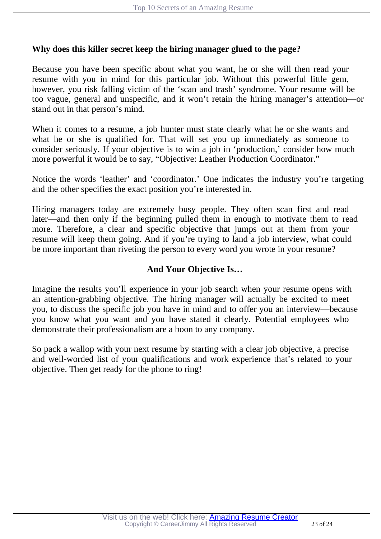Why does this killer secret keep the hiring manager glued to the page?

Because you have been specific about what you want, he or she will then read your resume with you in mind for this particular job. Without this powerful little gem, however, you risk falling victim of the 'scan and trash' syndrome. Your resume will be too vague, general and unspecific, and it won't retain the hiring manager's attention-or stand out in that person's mind.

When it comes to a resume, a job hunter must state clearly what he or she wants and what he or she is qualified for. That will set you up immediately as someone to consider seriously. If your objective is to win a job in 'production,' consider how much more powerful it would be to say, "Objective: Leather Production Coordinator."

Notice the words 'leather' and 'coordinator.' One indicates the industry you're targeting and the other specifies the exact position you're interested in.

Hiring managers today are extremely busy people. They often scan first and read later—and then only if the beginning pulled them in enough to motivate them to read more. Therefore, a clear and specific objective that jumps out at them from your resume will keep them going. And if you're trying to land a job interview, what could be more important than riveting the person to every word you wrote in your resume?

And Your Objective Is…

Imagine the results you'll experience in your job search when your resume opens with an attention-grabbing objective. The hiring manager will actually be excited to meet you, to discuss the specific job you have in mind and to offer you an interview—because you know what you want and you have stated it clearly. Potential employees who demonstrate their professionalism are a boon to any company.

So pack a wallop with your next resume by starting with a clear job objective, a precise and well-worded list of your qualifications and work experience that's related to your objective. Then get ready for the phone to ring!